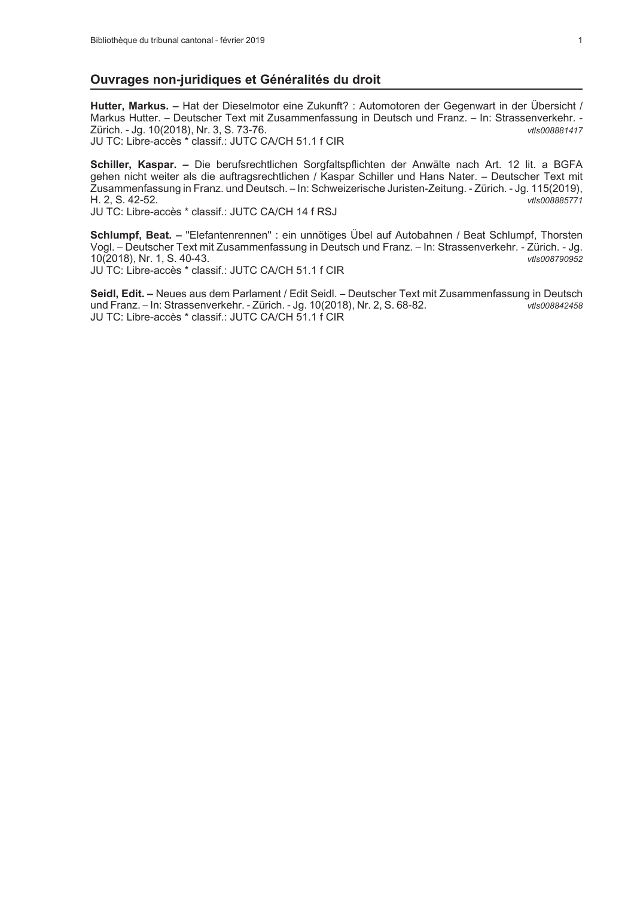#### Ouvrages non-juridiques et Généralités du droit

Hutter, Markus. - Hat der Dieselmotor eine Zukunft? : Automotoren der Gegenwart in der Übersicht / Markus Hutter. - Deutscher Text mit Zusammenfassung in Deutsch und Franz. - In: Strassenverkehr. -Zürich. - Jg. 10(2018), Nr. 3, S. 73-76. vtls008881417 JU TC: Libre-accès \* classif.: JUTC CA/CH 51.1 f CIR

Schiller, Kaspar. - Die berufsrechtlichen Sorgfaltspflichten der Anwälte nach Art. 12 lit. a BGFA gehen nicht weiter als die auftragsrechtlichen / Kaspar Schiller und Hans Nater. - Deutscher Text mit Zusammenfassung in Franz. und Deutsch. - In: Schweizerische Juristen-Zeitung. - Zürich. - Jg. 115(2019), H. 2, S. 42-52. vtls008885771

JU TC: Libre-accès \* classif.: JUTC CA/CH 14 f RSJ

Schlumpf, Beat. - "Elefantenrennen" : ein unnötiges Übel auf Autobahnen / Beat Schlumpf, Thorsten Vogl. - Deutscher Text mit Zusammenfassung in Deutsch und Franz. - In: Strassenverkehr. - Zürich. - Jg. 10(2018), Nr. 1, S. 40-43. vtls008790952 JU TC: Libre-accès \* classif.: JUTC CA/CH 51.1 f CIR

Seidl, Edit. - Neues aus dem Parlament / Edit Seidl. - Deutscher Text mit Zusammenfassung in Deutsch und Franz. - In: Strassenverkehr. - Zürich. - Jg. 10(2018), Nr. 2, S. 68-82. vtls008842458 JU TC: Libre-accès \* classif.: JUTC CA/CH 51.1 f CIR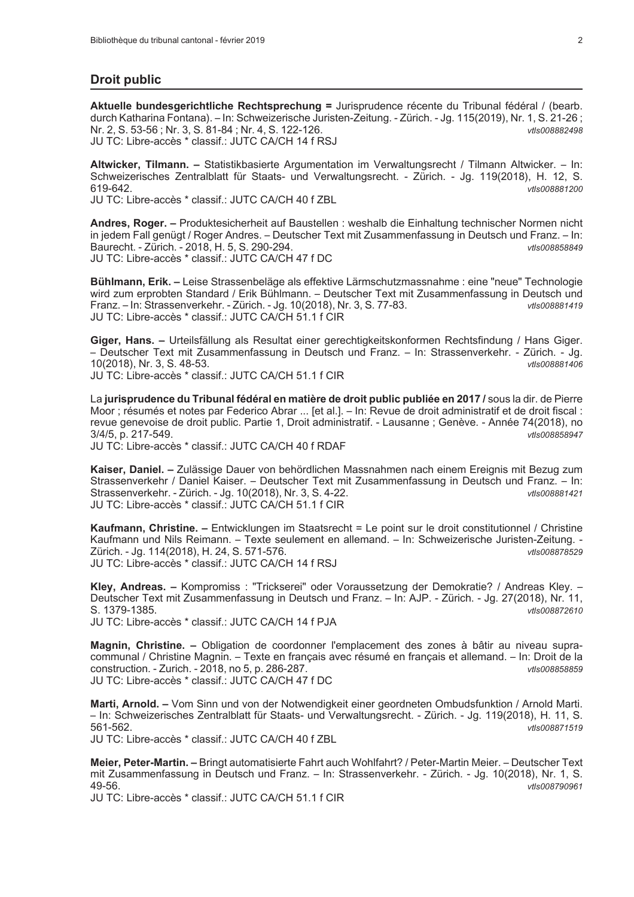### **Droit public**

Aktuelle bundesgerichtliche Rechtsprechung = Jurisprudence récente du Tribunal fédéral / (bearb. durch Katharina Fontana). - In: Schweizerische Juristen-Zeitung. - Zürich. - Jg. 115(2019), Nr. 1, S. 21-26; Nr. 2, S. 53-56; Nr. 3, S. 81-84; Nr. 4, S. 122-126. vtls008882498 JU TC: Libre-accès \* classif.: JUTC CA/CH 14 f RSJ

Altwicker, Tilmann. - Statistikbasierte Argumentation im Verwaltungsrecht / Tilmann Altwicker. - In: Schweizerisches Zentralblatt für Staats- und Verwaltungsrecht. - Zürich. - Jg. 119(2018), H. 12, S. 619-642.  $v$ tls008881200

JU TC: Libre-accès \* classif.: JUTC CA/CH 40 f ZBL

Andres, Roger. - Produktesicherheit auf Baustellen : weshalb die Einhaltung technischer Normen nicht in jedem Fall genügt / Roger Andres. - Deutscher Text mit Zusammenfassung in Deutsch und Franz. - In: Baurecht. - Zürich. - 2018, H. 5, S. 290-294. vtls008858849 JU TC: Libre-accès \* classif.: JUTC CA/CH 47 f DC

Bühlmann, Erik. - Leise Strassenbeläge als effektive Lärmschutzmassnahme : eine "neue" Technologie wird zum erprobten Standard / Erik Bühlmann. - Deutscher Text mit Zusammenfassung in Deutsch und Franz. - In: Strassenverkehr. - Zürich. - Jg. 10(2018), Nr. 3, S. 77-83. vtls008881419 JU TC: Libre-accès \* classif.: JUTC CA/CH 51.1 f CIR

Giger, Hans. – Urteilsfällung als Resultat einer gerechtigkeitskonformen Rechtsfindung / Hans Giger. - Deutscher Text mit Zusammenfassung in Deutsch und Franz. - In: Strassenverkehr. - Zürich. - Jg. 10(2018), Nr. 3, S. 48-53. vtls008881406 JU TC: Libre-accès \* classif.: JUTC CA/CH 51.1 f CIR

La jurisprudence du Tribunal fédéral en matière de droit public publiée en 2017 / sous la dir. de Pierre Moor ; résumés et notes par Federico Abrar ... [et al.]. - In: Revue de droit administratif et de droit fiscal : revue genevoise de droit public. Partie 1, Droit administratif. - Lausanne ; Genève. - Année 74(2018), no 3/4/5, p. 217-549. vtls008858947

JU TC: Libre-accès \* classif.: JUTC CA/CH 40 f RDAF

Kaiser, Daniel. - Zulässige Dauer von behördlichen Massnahmen nach einem Ereignis mit Bezug zum Strassenverkehr / Daniel Kaiser. – Deutscher Text mit Zusammenfassung in Deutsch und Franz. – In: Strassenverkehr. - Zürich. - Jg. 10(2018), Nr. 3, S. 4-22. vtls008881421 JU TC: Libre-accès \* classif.: JUTC CA/CH 51.1 f CIR

Kaufmann, Christine. - Entwicklungen im Staatsrecht = Le point sur le droit constitutionnel / Christine Kaufmann und Nils Reimann. – Texte seulement en allemand. – In: Schweizerische Juristen-Zeitung. -Zürich. - Jg. 114(2018), H. 24, S. 571-576. vtls008878529 JU TC: Libre-accès \* classif.: JUTC CA/CH 14 f RSJ

Kley, Andreas. - Kompromiss : "Trickserei" oder Voraussetzung der Demokratie? / Andreas Kley. -Deutscher Text mit Zusammenfassung in Deutsch und Franz. - In: AJP. - Zürich. - Jg. 27(2018), Nr. 11, S. 1379-1385. vtls008872610 JU TC: Libre-accès \* classif.: JUTC CA/CH 14 f PJA

Magnin, Christine. – Obligation de coordonner l'emplacement des zones à bâtir au niveau supracommunal / Christine Magnin. - Texte en français avec résumé en français et allemand. - In: Droit de la construction. - Zurich. - 2018, no 5, p. 286-287. vtls008858859 JU TC: Libre-accès \* classif.: JUTC CA/CH 47 f DC

Marti, Arnold. - Vom Sinn und von der Notwendigkeit einer geordneten Ombudsfunktion / Arnold Marti. - In: Schweizerisches Zentralblatt für Staats- und Verwaltungsrecht. - Zürich. - Jg. 119(2018), H. 11, S. 561-562. vtls008871519

JU TC: Libre-accès \* classif.: JUTC CA/CH 40 f ZBL

Meier, Peter-Martin. - Bringt automatisierte Fahrt auch Wohlfahrt? / Peter-Martin Meier. - Deutscher Text mit Zusammenfassung in Deutsch und Franz. - In: Strassenverkehr. - Zürich. - Jg. 10(2018), Nr. 1, S. 49-56. vtls008790961

JU TC: Libre-accès \* classif.: JUTC CA/CH 51.1 f CIR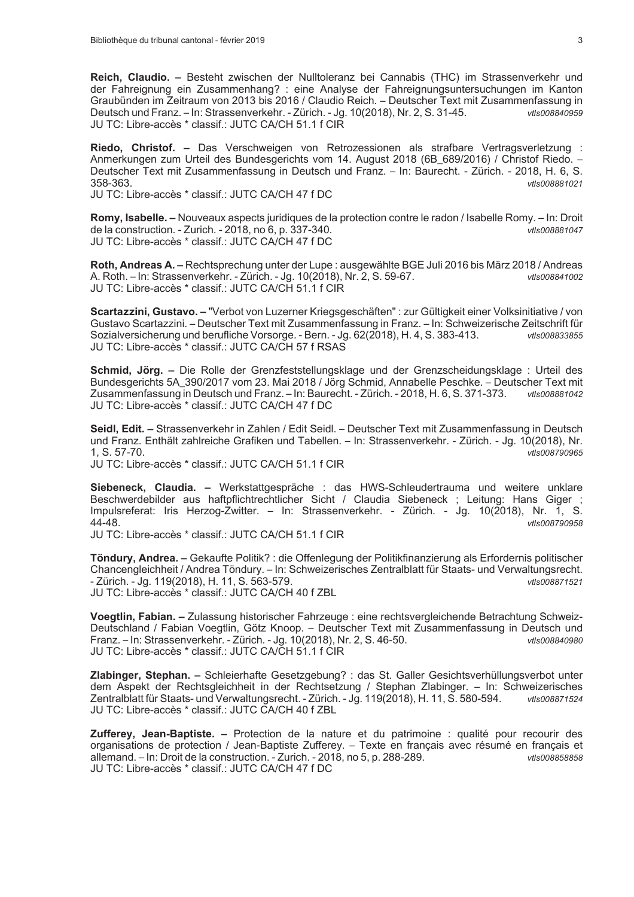Reich. Claudio. - Besteht zwischen der Nulltoleranz bei Cannabis (THC) im Strassenverkehr und der Fahreignung ein Zusammenhang? : eine Analyse der Fahreignungsuntersuchungen im Kanton Graubünden im Zeitraum von 2013 bis 2016 / Claudio Reich. - Deutscher Text mit Zusammenfassung in Deutsch und Franz. - In: Strassenverkehr. - Zürich. - Jg. 10(2018), Nr. 2, S. 31-45. vtls008840959 JU TC: Libre-accès \* classif.: JUTC CA/CH 51.1 f CIR

Riedo, Christof. - Das Verschweigen von Retrozessionen als strafbare Vertragsverletzung : Anmerkungen zum Urteil des Bundesgerichts vom 14. August 2018 (6B\_689/2016) / Christof Riedo. -Deutscher Text mit Zusammenfassung in Deutsch und Franz. - In: Baurecht. - Zürich. - 2018, H. 6, S. 358-363 vtls008881021

JU TC: Libre-accès \* classif.: JUTC CA/CH 47 f DC

Romy, Isabelle. – Nouveaux aspects juridiques de la protection contre le radon / Isabelle Romy. – In: Droit de la construction. - Zurich. - 2018, no 6, p. 337-340. vtls008881047 JU TC: Libre-accès \* classif.: JUTC CA/CH 47 f DC

Roth, Andreas A. - Rechtsprechung unter der Lupe : ausgewählte BGE Juli 2016 bis März 2018 / Andreas A. Roth. - In: Strassenverkehr. - Zürich. - Jg. 10(2018), Nr. 2, S. 59-67. vtls008841002 JU TC: Libre-accès \* classif.: JUTC CA/CH 51.1 f CIR

Scartazzini, Gustavo. - "Verbot von Luzerner Kriegsgeschäften" : zur Gültigkeit einer Volksinitiative / von Gustavo Scartazzini. - Deutscher Text mit Zusammenfassung in Franz. - In: Schweizerische Zeitschrift für Sozialversicherung und berufliche Vorsorge. - Bern. - Jg. 62(2018), H. 4, S. 383-413. vtls008833855 JU TC: Libre-accès \* classif.: JUTC CA/CH 57 f RSAS

Schmid. Jörg. – Die Rolle der Grenzfeststellungsklage und der Grenzscheidungsklage : Urteil des Bundesgerichts 5A 390/2017 vom 23. Mai 2018 / Jörg Schmid, Annabelle Peschke. - Deutscher Text mit Zusammenfassung in Deutsch und Franz. - In: Baurecht. - Zürich. - 2018, H. 6, S. 371-373. vtls008881042 JU TC: Libre-accès \* classif.: JUTC CA/CH 47 f DC

Seidl, Edit. - Strassenverkehr in Zahlen / Edit Seidl. - Deutscher Text mit Zusammenfassung in Deutsch und Franz. Enthält zahlreiche Grafiken und Tabellen. – In: Strassenverkehr. - Zürich. - Jg. 10(2018), Nr.  $1. S. 57-70.$ vtls008790965

JU TC: Libre-accès \* classif.: JUTC CA/CH 51.1 f CIR

Siebeneck, Claudia. - Werkstattgespräche : das HWS-Schleudertrauma und weitere unklare Beschwerdebilder aus haftpflichtrechtlicher Sicht / Claudia Siebeneck ; Leitung: Hans Giger ; Impulsreferat: Iris Herzog-Zwitter. - In: Strassenverkehr. - Zürich. - Jg. 10(2018), Nr. 1, S. 44-48. vtls008790958

JU TC: Libre-accès \* classif.: JUTC CA/CH 51.1 f CIR

Töndury, Andrea. - Gekaufte Politik? : die Offenlegung der Politikfinanzierung als Erfordernis politischer Chancengleichheit / Andrea Töndury. - In: Schweizerisches Zentralblatt für Staats- und Verwaltungsrecht. - Zürich. - Jg. 119(2018), H. 11, S. 563-579. vtls008871521 JU TC: Libre-accès \* classif.: JUTC CA/CH 40 f ZBL

Voegtlin, Fabian. - Zulassung historischer Fahrzeuge : eine rechtsvergleichende Betrachtung Schweiz-Deutschland / Fabian Voegtlin, Götz Knoop. - Deutscher Text mit Zusammenfassung in Deutsch und Franz. - In: Strassenverkehr. - Zürich. - Jg. 10(2018), Nr. 2, S. 46-50. vtls008840980 JU TC: Libre-accès \* classif.: JUTC CA/CH 51.1 f CIR

Zlabinger, Stephan. - Schleierhafte Gesetzgebung? : das St. Galler Gesichtsverhüllungsverbot unter dem Aspekt der Rechtsgleichheit in der Rechtsetzung / Stephan Zlabinger. - In: Schweizerisches Zentralblatt für Staats- und Verwaltungsrecht. - Zürich. - Jg. 119(2018), H. 11, S. 580-594. vtls008871524 JU TC: Libre-accès \* classif.: JUTC CA/CH 40 f ZBL

Zufferey, Jean-Baptiste. - Protection de la nature et du patrimoine : qualité pour recourir des organisations de protection / Jean-Baptiste Zufferey. - Texte en français avec résumé en français et allemand. - In: Droit de la construction. - Zurich. - 2018, no 5, p. 288-289. vtls008858858 JU TC: Libre-accès \* classif.: JUTC CA/CH 47 f DC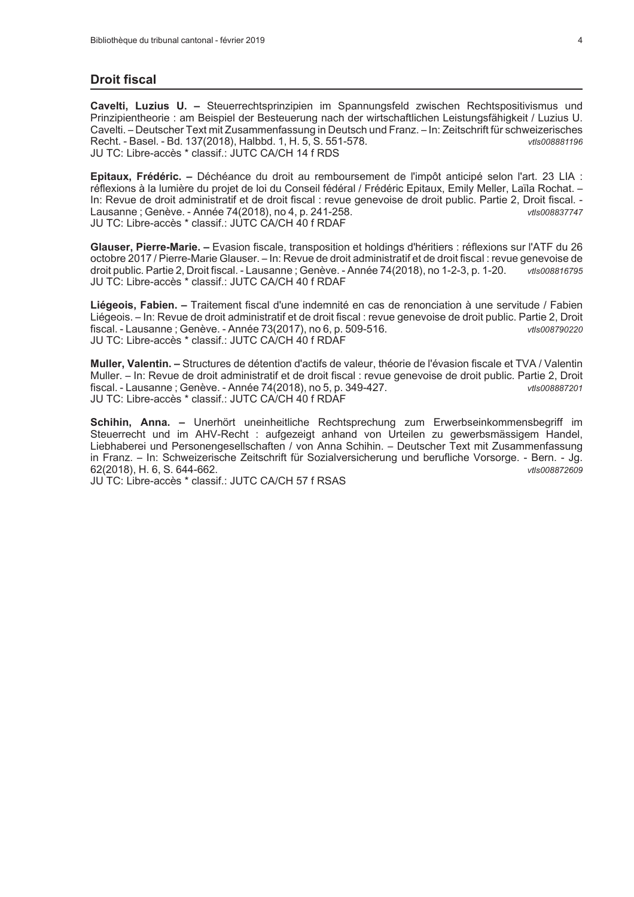## **Droit fiscal**

Cavelti, Luzius U. - Steuerrechtsprinzipien im Spannungsfeld zwischen Rechtspositivismus und Prinzipientheorie : am Beispiel der Besteuerung nach der wirtschaftlichen Leistungsfähigkeit / Luzius U. Cavelti. - Deutscher Text mit Zusammenfassung in Deutsch und Franz. - In: Zeitschrift für schweizerisches Recht. - Basel. - Bd. 137(2018), Halbbd. 1, H. 5, S. 551-578. vtls008881196 JU TC: Libre-accès \* classif.: JUTC CA/CH 14 f RDS

Epitaux, Frédéric. - Déchéance du droit au remboursement de l'impôt anticipé selon l'art. 23 LIA : réflexions à la lumière du projet de loi du Conseil fédéral / Frédéric Epitaux, Emily Meller, Laïla Rochat, -In: Revue de droit administratif et de droit fiscal : revue genevoise de droit public. Partie 2, Droit fiscal. Lausanne; Genève. - Année 74(2018), no 4, p. 241-258. vtls008837747 JU TC: Libre-accès \* classif.: JUTC CA/CH 40 f RDAF

Glauser, Pierre-Marie. – Evasion fiscale, transposition et holdings d'héritiers : réflexions sur l'ATF du 26 octobre 2017 / Pierre-Marie Glauser. - In: Revue de droit administratif et de droit fiscal : revue genevoise de droit public. Partie 2, Droit fiscal. - Lausanne ; Genève. - Année 74(2018), no 1-2-3, p. 1-20. vtls008816795 JU TC: Libre-accès \* classif.: JUTC CA/CH 40 f RDAF

Liégeois, Fabien. – Traitement fiscal d'une indemnité en cas de renonciation à une servitude / Fabien Liégeois. – In: Revue de droit administratif et de droit fiscal : revue genevoise de droit public. Partie 2, Droit fiscal. - Lausanne ; Genève. - Année 73(2017), no 6, p. 509-516. vtls008790220 JU TC: Libre-accès \* classif.: JUTC CA/CH 40 f RDAF

Muller, Valentin. - Structures de détention d'actifs de valeur, théorie de l'évasion fiscale et TVA / Valentin Muller. – In: Revue de droit administratif et de droit fiscal : revue genevoise de droit public. Partie 2, Droit fiscal. - Lausanne ; Genève. - Année 74(2018), no 5, p. 349-427. vtls008887201 JU TC: Libre-accès \* classif.: JUTC CA/CH 40 f RDAF

Schihin, Anna. - Unerhört uneinheitliche Rechtsprechung zum Erwerbseinkommensbegriff im Steuerrecht und im AHV-Recht : aufgezeigt anhand von Urteilen zu gewerbsmässigem Handel, Liebhaberei und Personengesellschaften / von Anna Schihin. - Deutscher Text mit Zusammenfassung in Franz. – In: Schweizerische Zeitschrift für Sozialversicherung und berufliche Vorsorge. - Bern. - Jg. 62(2018), H. 6, S. 644-662. vtls008872609

JU TC: Libre-accès \* classif.: JUTC CA/CH 57 f RSAS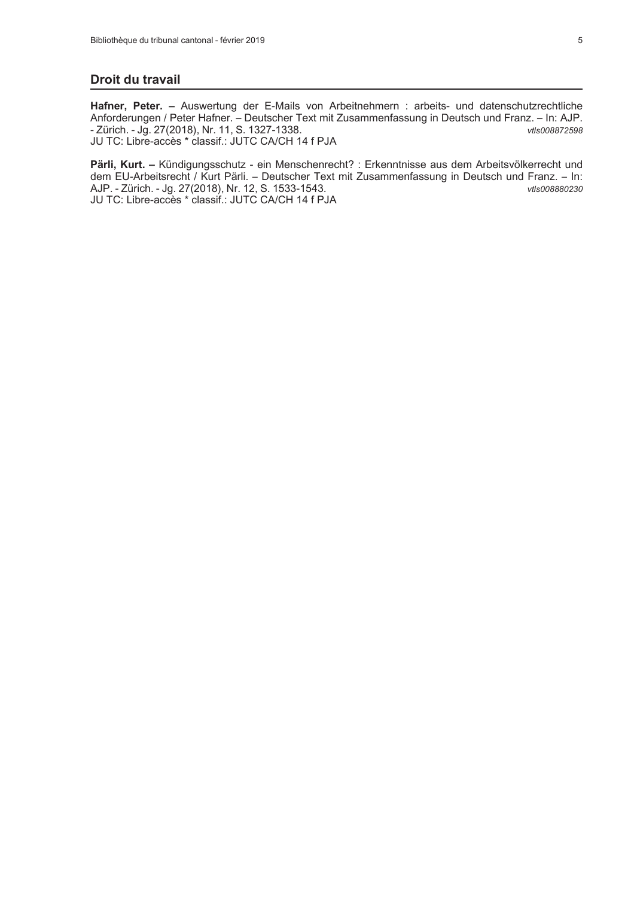#### Droit du travail

Hafner, Peter. - Auswertung der E-Mails von Arbeitnehmern : arbeits- und datenschutzrechtliche Anforderungen / Peter Hafner. - Deutscher Text mit Zusammenfassung in Deutsch und Franz. - In: AJP. - Zürich. - Jg. 27(2018), Nr. 11, S. 1327-1338. vtls008872598 JU TC: Libre-accès \* classif.: JUTC CA/CH 14 f PJA

Pärli, Kurt. - Kündigungsschutz - ein Menschenrecht? : Erkenntnisse aus dem Arbeitsvölkerrecht und dem EU-Arbeitsrecht / Kurt Pärli. - Deutscher Text mit Zusammenfassung in Deutsch und Franz. - In: AJP. - Zürich. - Jg. 27(2018), Nr. 12, S. 1533-1543. vtls008880230 JU TC: Libre-accès \* classif.: JUTC CA/CH 14 f PJA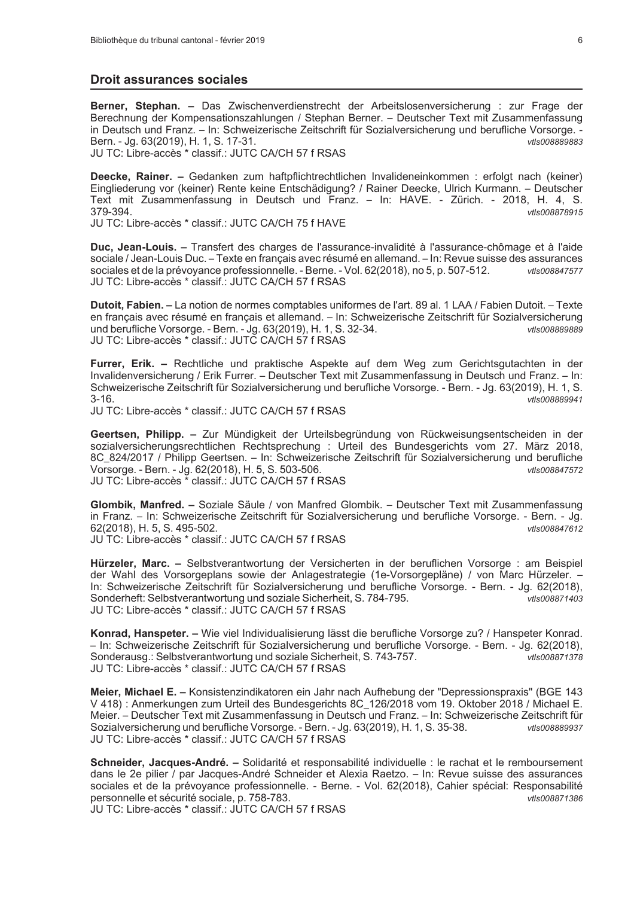#### **Droit assurances sociales**

Berner, Stephan. - Das Zwischenverdienstrecht der Arbeitslosenversicherung : zur Frage der Berechnung der Kompensationszahlungen / Stephan Berner. - Deutscher Text mit Zusammenfassung in Deutsch und Franz. – In: Schweizerische Zeitschrift für Sozialversicherung und berufliche Vorsorge. -Bern. - Jg. 63(2019), H. 1, S. 17-31. vtls008889883 JU TC: Libre-accès \* classif.: JUTC CA/CH 57 f RSAS

Deecke, Rainer. - Gedanken zum haftpflichtrechtlichen Invalideneinkommen : erfolgt nach (keiner) Eingliederung vor (keiner) Rente keine Entschädigung? / Rainer Deecke, Ulrich Kurmann. - Deutscher Text mit Zusammenfassung in Deutsch und Franz. - In: HAVE. - Zürich. - 2018, H. 4, S. 379-394. vtls008878915

JU TC: Libre-accès \* classif.: JUTC CA/CH 75 f HAVE

Duc, Jean-Louis. – Transfert des charges de l'assurance-invalidité à l'assurance-chômage et à l'aide sociale / Jean-Louis Duc. - Texte en français avec résumé en allemand. - In: Revue suisse des assurances sociales et de la prévoyance professionnelle. - Berne. - Vol. 62(2018), no 5, p. 507-512. vtls008847577 JU TC: Libre-accès \* classif.: JUTC CA/CH 57 f RSAS

Dutoit, Fabien. - La notion de normes comptables uniformes de l'art. 89 al. 1 LAA / Fabien Dutoit. - Texte en français avec résumé en français et allemand. - In: Schweizerische Zeitschrift für Sozialversicherung und berufliche Vorsorge. - Bern. - Jg. 63(2019), H. 1, S. 32-34. JU TC: Libre-accès \* classif.: JUTC CA/CH 57 f RSAS

Furrer, Erik. – Rechtliche und praktische Aspekte auf dem Weg zum Gerichtsgutachten in der Invalidenversicherung / Erik Furrer. - Deutscher Text mit Zusammenfassung in Deutsch und Franz. - In: Schweizerische Zeitschrift für Sozialversicherung und berufliche Vorsorge. - Bern. - Jg. 63(2019), H. 1, S.  $3 - 16$  $vH$ s008889941

JU TC: Libre-accès \* classif.: JUTC CA/CH 57 f RSAS

Geertsen, Philipp. - Zur Mündigkeit der Urteilsbegründung von Rückweisungsentscheiden in der sozialversicherungsrechtlichen Rechtsprechung : Urteil des Bundesgerichts vom 27. März 2018, 8C 824/2017 / Philipp Geertsen. - In: Schweizerische Zeitschrift für Sozialversicherung und berufliche Vorsorge. - Bern. - Jg. 62(2018), H. 5, S. 503-506. vtls008847572 JU TC: Libre-accès \* classif.: JUTC CA/CH 57 f RSAS

Glombik, Manfred. - Soziale Säule / von Manfred Glombik. - Deutscher Text mit Zusammenfassung in Franz. - In: Schweizerische Zeitschrift für Sozialversicherung und berufliche Vorsorge. - Bern. - Jg. 62(2018), H. 5, S. 495-502. vtls008847612 JU TC: Libre-accès \* classif.: JUTC CA/CH 57 f RSAS

Hürzeler, Marc. - Selbstverantwortung der Versicherten in der beruflichen Vorsorge : am Beispiel der Wahl des Vorsorgeplans sowie der Anlagestrategie (1e-Vorsorgepläne) / von Marc Hürzeler. -In: Schweizerische Zeitschrift für Sozialversicherung und berufliche Vorsorge. - Bern. - Jg. 62(2018), Sonderheft: Selbstverantwortung und soziale Sicherheit, S. 784-795. vtls008871403 JU TC: Libre-accès \* classif.: JUTC CA/CH 57 f RSAS

Konrad, Hanspeter. - Wie viel Individualisierung lässt die berufliche Vorsorge zu? / Hanspeter Konrad. - In: Schweizerische Zeitschrift für Sozialversicherung und berufliche Vorsorge. - Bern. - Jg. 62(2018), Sonderausg.: Selbstverantwortung und soziale Sicherheit, S. 743-757. vtls008871378 JU TC: Libre-accès \* classif.: JUTC CA/CH 57 f RSAS

Meier, Michael E. - Konsistenzindikatoren ein Jahr nach Aufhebung der "Depressionspraxis" (BGE 143 V 418) : Anmerkungen zum Urteil des Bundesgerichts 8C\_126/2018 vom 19. Oktober 2018 / Michael E. Meier. - Deutscher Text mit Zusammenfassung in Deutsch und Franz. - In: Schweizerische Zeitschrift für Sozialversicherung und berufliche Vorsorge. - Bern. - Jg. 63(2019), H. 1, S. 35-38. vtls008889937 JU TC: Libre-accès \* classif.: JUTC CA/CH 57 f RSAS

Schneider, Jacques-André. - Solidarité et responsabilité individuelle : le rachat et le remboursement dans le 2e pilier / par Jacques-André Schneider et Alexia Raetzo. - In: Revue suisse des assurances sociales et de la prévoyance professionnelle. - Berne. - Vol. 62(2018), Cahier spécial: Responsabilité personnelle et sécurité sociale, p. 758-783. vtls008871386

JU TC: Libre-accès \* classif.: JUTC CA/CH 57 f RSAS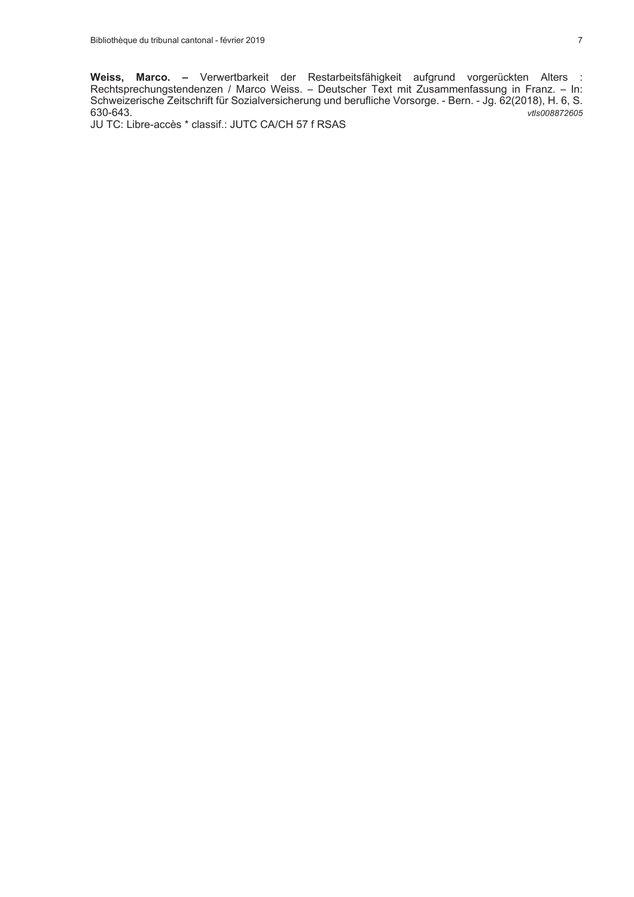Weiss, Marco. – Verwertbarkeit der Restarbeitsfähigkeit aufgrund vorgerückten Alters :<br>Rechtsprechungstendenzen / Marco Weiss. – Deutscher Text mit Zusammenfassung in Franz. – In:<br>Schweizerische Zeitschrift für Sozialversi 630-643. vtls008872605

JU TC: Libre-accès \* classif.: JUTC CA/CH 57 f RSAS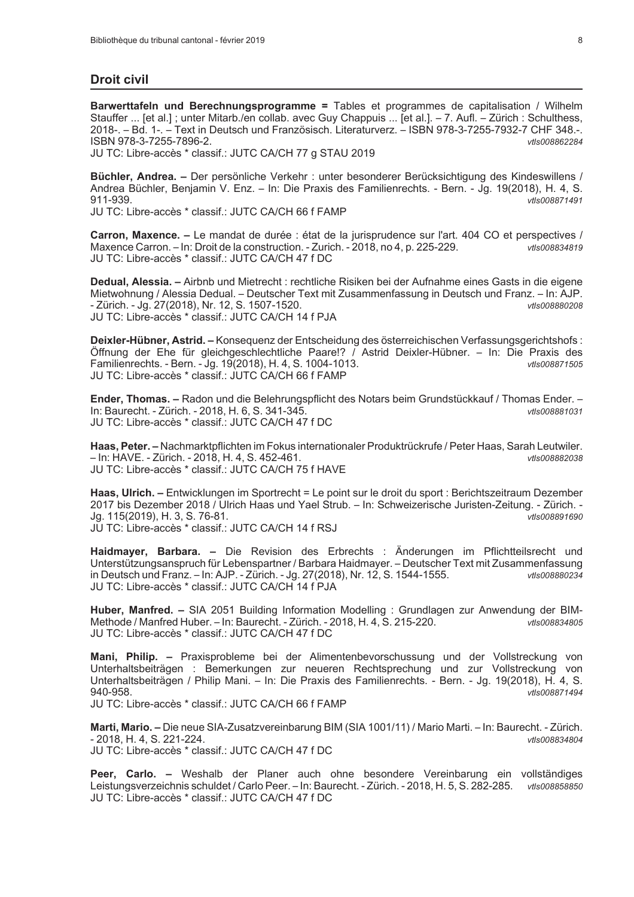## **Droit civil**

Barwerttafeln und Berechnungsprogramme = Tables et programmes de capitalisation / Wilhelm Stauffer ... [et al.]; unter Mitarb./en collab. avec Guy Chappuis ... [et al.]. - 7. Aufl. - Zürich : Schulthess, 2018-. - Bd. 1-. - Text in Deutsch und Französisch. Literaturverz. - ISBN 978-3-7255-7932-7 CHF 348.-. ISBN 978-3-7255-7896-2. vtls008862284

JU TC: Libre-accès \* classif.: JUTC CA/CH 77 g STAU 2019

Büchler, Andrea. – Der persönliche Verkehr : unter besonderer Berücksichtigung des Kindeswillens / Andrea Büchler, Benjamin V. Enz. - In: Die Praxis des Familienrechts. - Bern. - Jg. 19(2018), H. 4, S. 911-939. vtls008871491

JU TC: Libre-accès \* classif.: JUTC CA/CH 66 f FAMP

Carron, Maxence. - Le mandat de durée : état de la jurisprudence sur l'art. 404 CO et perspectives / Maxence Carron. - In: Droit de la construction. - Zurich. - 2018, no 4, p. 225-229. vtls008834819 JU TC: Libre-accès \* classif.: JUTC CA/CH 47 f DC

Dedual, Alessia. - Airbnb und Mietrecht : rechtliche Risiken bei der Aufnahme eines Gasts in die eigene Mietwohnung / Alessia Dedual. – Deutscher Text mit Zusammenfassung in Deutsch und Franz. – In: AJP. - Zürich. - Jg. 27(2018), Nr. 12, S. 1507-1520. vtls008880208 JU TC: Libre-accès \* classif.: JUTC CA/CH 14 f PJA

Deixler-Hübner, Astrid. - Konseguenz der Entscheidung des österreichischen Verfassungsgerichtshofs: Öffnung der Ehe für gleichgeschlechtliche Paare!? / Astrid Deixler-Hübner. – In: Die Praxis des Familienrechts. - Bern. - Jg. 19(2018), H. 4, S. 1004-1013. vtls008871505 JU TC: Libre-accès \* classif.: JUTC CA/CH 66 f FAMP

Ender, Thomas. - Radon und die Belehrungspflicht des Notars beim Grundstückkauf / Thomas Ender. -In: Baurecht. - Zürich. - 2018, H. 6, S. 341-345. vtls008881031 JU TC: Libre-accès \* classif.: JUTC CA/CH 47 f DC

Haas, Peter. - Nachmarktpflichten im Fokus internationaler Produktrückrufe / Peter Haas, Sarah Leutwiler. - In: HAVE. - Zürich. - 2018, H. 4, S. 452-461. vtls008882038 JU TC: Libre-accès \* classif.: JUTC CA/CH 75 f HAVE

Haas, Ulrich. - Entwicklungen im Sportrecht = Le point sur le droit du sport : Berichtszeitraum Dezember 2017 bis Dezember 2018 / Ulrich Haas und Yael Strub. - In: Schweizerische Juristen-Zeitung. - Zürich. -Jq. 115(2019), H. 3, S. 76-81. vtls008891690 JU TC: Libre-accès \* classif.: JUTC CA/CH 14 f RSJ

Haidmayer, Barbara. - Die Revision des Erbrechts : Änderungen im Pflichtteilsrecht und Unterstützungsanspruch für Lebenspartner / Barbara Haidmayer. - Deutscher Text mit Zusammenfassung in Deutsch und Franz. - In: AJP. - Zürich. - Jg. 27(2018), Nr. 12, S. 1544-1555. vtls008880234 JU TC: Libre-accès \* classif.: JUTC CA/CH 14 f PJA

Huber, Manfred. - SIA 2051 Building Information Modelling : Grundlagen zur Anwendung der BIM-Methode / Manfred Huber. - In: Baurecht. - Zürich. - 2018, H. 4, S. 215-220. vtls008834805 JU TC: Libre-accès \* classif.: JUTC CA/CH 47 f DC

Mani, Philip. - Praxisprobleme bei der Alimentenbevorschussung und der Vollstreckung von Unterhaltsbeiträgen : Bemerkungen zur neueren Rechtsprechung und zur Vollstreckung von Unterhaltsbeiträgen / Philip Mani. - In: Die Praxis des Familienrechts. - Bern. - Jg. 19(2018), H. 4, S. 940-958. vtls008871494

JU TC: Libre-accès \* classif.: JUTC CA/CH 66 f FAMP

Marti, Mario. - Die neue SIA-Zusatzvereinbarung BIM (SIA 1001/11) / Mario Marti. - In: Baurecht. - Zürich. - 2018, H. 4, S. 221-224. vtls008834804 JU TC: Libre-accès \* classif.: JUTC CA/CH 47 f DC

Peer, Carlo. - Weshalb der Planer auch ohne besondere Vereinbarung ein vollständiges Leistungsverzeichnis schuldet / Carlo Peer. - In: Baurecht. - Zürich. - 2018, H. 5, S. 282-285. vts008858850 JU TC: Libre-accès \* classif.: JUTC CA/CH 47 f DC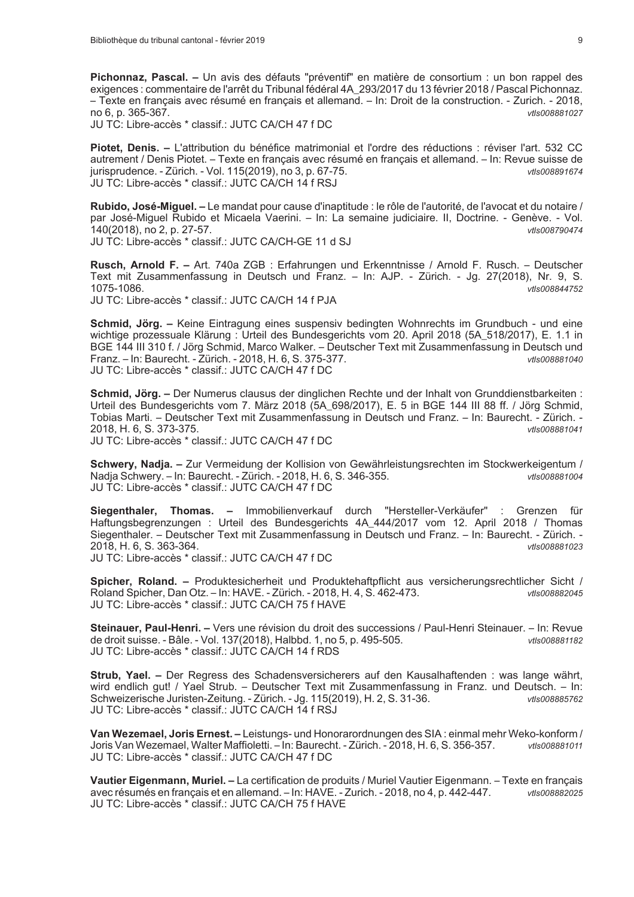Pichonnaz, Pascal. - Un avis des défauts "préventif" en matière de consortium : un bon rappel des exigences : commentaire de l'arrêt du Tribunal fédéral 4A 293/2017 du 13 février 2018 / Pascal Pichonnaz. - Texte en français avec résumé en français et allemand. - In: Droit de la construction. - Zurich. - 2018, no 6, p. 365-367. vtls008881027

JU TC: Libre-accès \* classif.: JUTC CA/CH 47 f DC

Piotet, Denis. - L'attribution du bénéfice matrimonial et l'ordre des réductions : réviser l'art. 532 CC autrement / Denis Piotet. – Texte en français avec résumé en français et allemand. – In: Revue suisse de jurisprudence. - Zürich. - Vol. 115(2019), no 3, p. 67-75. vtls008891674 JU TC: Libre-accès \* classif.: JUTC CA/CH 14 f RSJ

Rubido, José-Miquel, – Le mandat pour cause d'inaptitude : le rôle de l'autorité, de l'avocat et du notaire / par José-Miquel Rubido et Micaela Vaerini. – In: La semaine judiciaire. Il. Doctrine. - Genève. - Vol. 140(2018), no 2, p. 27-57. vtls008790474 JU TC: Libre-accès \* classif.: JUTC CA/CH-GE 11 d SJ

Rusch, Arnold F. - Art. 740a ZGB : Erfahrungen und Erkenntnisse / Arnold F. Rusch. - Deutscher Text mit Zusammenfassung in Deutsch und Franz. - In: AJP. - Zürich. - Jg. 27(2018), Nr. 9, S. 1075-1086 vtls008844752

JU TC: Libre-accès \* classif.: JUTC CA/CH 14 f PJA

Schmid, Jörg. - Keine Eintragung eines suspensiv bedingten Wohnrechts im Grundbuch - und eine wichtige prozessuale Klärung : Urteil des Bundesgerichts vom 20. April 2018 (5A 518/2017). E. 1.1 in BGE 144 III 310 f. / Jörg Schmid, Marco Walker. - Deutscher Text mit Zusammenfassung in Deutsch und Franz. - In: Baurecht. - Zürich. - 2018. H. 6. S. 375-377.  $vH$ s008881040 JU TC: Libre-accès \* classif.: JUTC CA/CH 47 f DC

Schmid, Jörg. - Der Numerus clausus der dinglichen Rechte und der Inhalt von Grunddienstbarkeiten : Urteil des Bundesgerichts vom 7. März 2018 (5A 698/2017), E. 5 in BGE 144 III 88 ff. / Jörg Schmid, Tobias Marti. - Deutscher Text mit Zusammenfassung in Deutsch und Franz. - In: Baurecht. - Zürich. -2018. H. 6. S. 373-375. vtls008881041 JU TC: Libre-accès \* classif.: JUTC CA/CH 47 f DC

Schwery, Nadja. - Zur Vermeidung der Kollision von Gewährleistungsrechten im Stockwerkeigentum / Nadia Schwery. - In: Baurecht. - Zürich. - 2018, H. 6, S. 346-355. vtls008881004 JU TC: Libre-accès \* classif.: JUTC CA/CH 47 f DC

Siegenthaler, Thomas. - Immobilienverkauf durch "Hersteller-Verkäufer" : Grenzen für Haftungsbegrenzungen: Urteil des Bundesgerichts 4A 444/2017 vom 12. April 2018 / Thomas Siegenthaler. - Deutscher Text mit Zusammenfassung in Deutsch und Franz. - In: Baurecht. - Zürich. -2018. H. 6. S. 363-364. vtls008881023 JU TC: Libre-accès \* classif.: JUTC CA/CH 47 f DC

Spicher, Roland. - Produktesicherheit und Produktehaftpflicht aus versicherungsrechtlicher Sicht / Roland Spicher, Dan Otz. - In: HAVE. - Zürich. - 2018, H. 4, S. 462-473.  $vH$ c $008882045$ JU TC: Libre-accès \* classif.: JUTC CA/CH 75 f HAVE

Steinauer, Paul-Henri. - Vers une révision du droit des successions / Paul-Henri Steinauer. - In: Revue de droit suisse. - Bâle. - Vol. 137(2018), Halbbd. 1, no 5, p. 495-505. vtls008881182 JU TC: Libre-accès \* classif.: JUTC CA/CH 14 f RDS

Strub, Yael. - Der Regress des Schadensversicherers auf den Kausalhaftenden : was lange währt, wird endlich gut! / Yael Strub. - Deutscher Text mit Zusammenfassung in Franz. und Deutsch. - In: Schweizerische Juristen-Zeitung. - Zürich. - Jg. 115(2019), H. 2, S. 31-36. vtls008885762 JU TC: Libre-accès \* classif.: JUTC CA/CH 14 f RSJ

Van Wezemael, Joris Ernest. - Leistungs- und Honorarordnungen des SIA : einmal mehr Weko-konform / Joris Van Wezemael, Walter Maffioletti. - In: Baurecht. - Zürich. - 2018, H. 6, S. 356-357. vtls008881011 JU TC: Libre-accès \* classif.: JUTC CA/CH 47 f DC

Vautier Eigenmann, Muriel. - La certification de produits / Muriel Vautier Eigenmann. - Texte en francais avec résumés en français et en allemand. - In: HAVE. - Zurich. - 2018, no 4, p. 442-447. vtls008882025 JU TC: Libre-accès \* classif.: JUTC CA/CH 75 f HAVE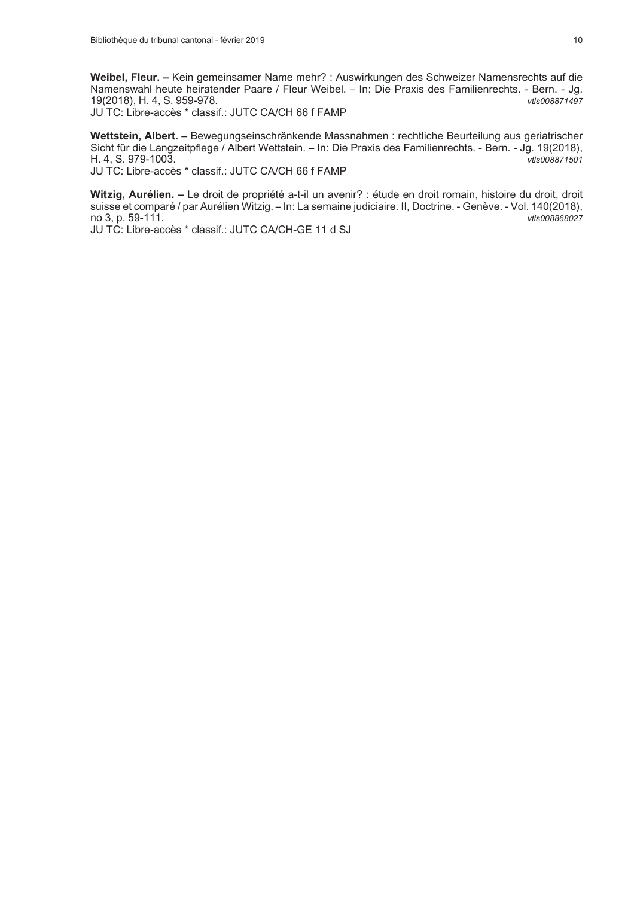Weibel, Fleur. - Kein gemeinsamer Name mehr? : Auswirkungen des Schweizer Namensrechts auf die Namenswahl heute heiratender Paare / Fleur Weibel. - In: Die Praxis des Familienrechts. - Bern. - Jg. 19(2018), H. 4, S. 959-978. vtls008871497

JU TC: Libre-accès \* classif.: JUTC CA/CH 66 f FAMP

Wettstein, Albert. - Bewegungseinschränkende Massnahmen : rechtliche Beurteilung aus geriatrischer Sicht für die Langzeitpflege / Albert Wettstein. - In: Die Praxis des Familienrechts. - Bern. - Jg. 19(2018), H. 4. S. 979-1003. vtls008871501

JU TC: Libre-accès \* classif.: JUTC CA/CH 66 f FAMP

Witzig, Aurélien. - Le droit de propriété a-t-il un avenir? : étude en droit romain, histoire du droit, droit suisse et comparé / par Aurélien Witzig. - In: La semaine judiciaire. II, Doctrine. - Genève. - Vol. 140(2018), no 3, p. 59-111. vtls008868027

JU TC: Libre-accès \* classif.: JUTC CA/CH-GE 11 d SJ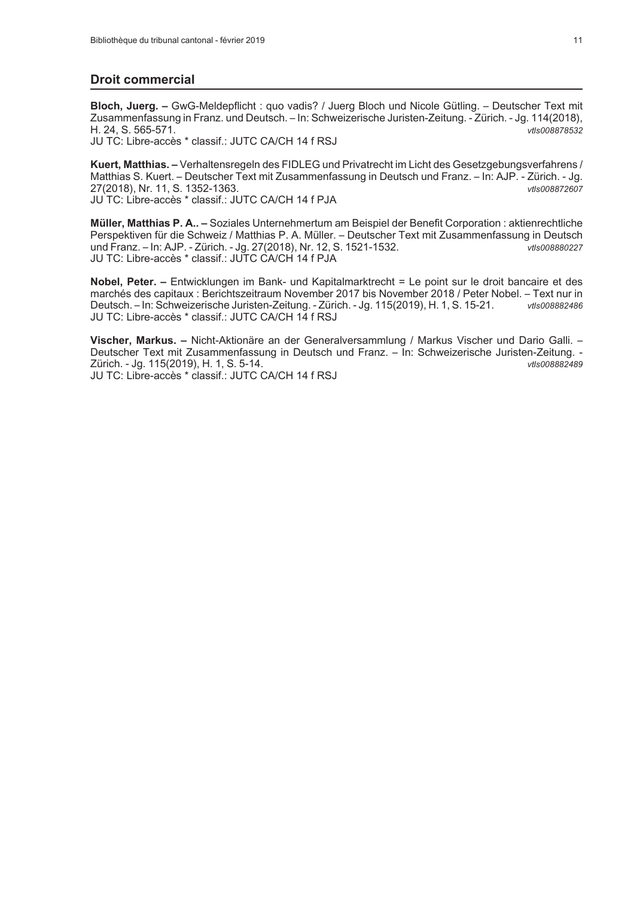## **Droit commercial**

Bloch, Juerg. - GwG-Meldepflicht : quo vadis? / Juerg Bloch und Nicole Gütling. - Deutscher Text mit Zusammenfassung in Franz. und Deutsch. - In: Schweizerische Juristen-Zeitung. - Zürich. - Jg. 114(2018), H. 24, S. 565-571. vtls008878532

JU TC: Libre-accès \* classif.: JUTC CA/CH 14 f RSJ

Kuert, Matthias. - Verhaltensregeln des FIDLEG und Privatrecht im Licht des Gesetzgebungsverfahrens / Matthias S. Kuert. - Deutscher Text mit Zusammenfassung in Deutsch und Franz. - In: AJP. - Zürich. - Jg. 27(2018), Nr. 11, S. 1352-1363. vtls008872607 JU TC: Libre-accès \* classif.: JUTC CA/CH 14 f PJA

Müller, Matthias P. A.. - Soziales Unternehmertum am Beispiel der Benefit Corporation : aktienrechtliche Perspektiven für die Schweiz / Matthias P. A. Müller. – Deutscher Text mit Zusammenfassung in Deutsch und Franz. - In: AJP. - Zürich. - Jg. 27(2018), Nr. 12, S. 1521-1532. vtls008880227 JU TC: Libre-accès \* classif.: JUTC CA/CH 14 f PJA

Nobel, Peter. - Entwicklungen im Bank- und Kapitalmarktrecht = Le point sur le droit bancaire et des marchés des capitaux : Berichtszeitraum November 2017 bis November 2018 / Peter Nobel. - Text nur in Deutsch. - In: Schweizerische Juristen-Zeitung. - Zürich. - Jg. 115(2019), H. 1, S. 15-21. vtls008882486 JU TC: Libre-accès \* classif.: JUTC CA/CH 14 f RSJ

Vischer, Markus. - Nicht-Aktionäre an der Generalversammlung / Markus Vischer und Dario Galli. -Deutscher Text mit Zusammenfassung in Deutsch und Franz. - In: Schweizerische Juristen-Zeitung. -Zürich. - Jg. 115(2019), H. 1, S. 5-14. vtls008882489 JU TC: Libre-accès \* classif.: JUTC CA/CH 14 f RSJ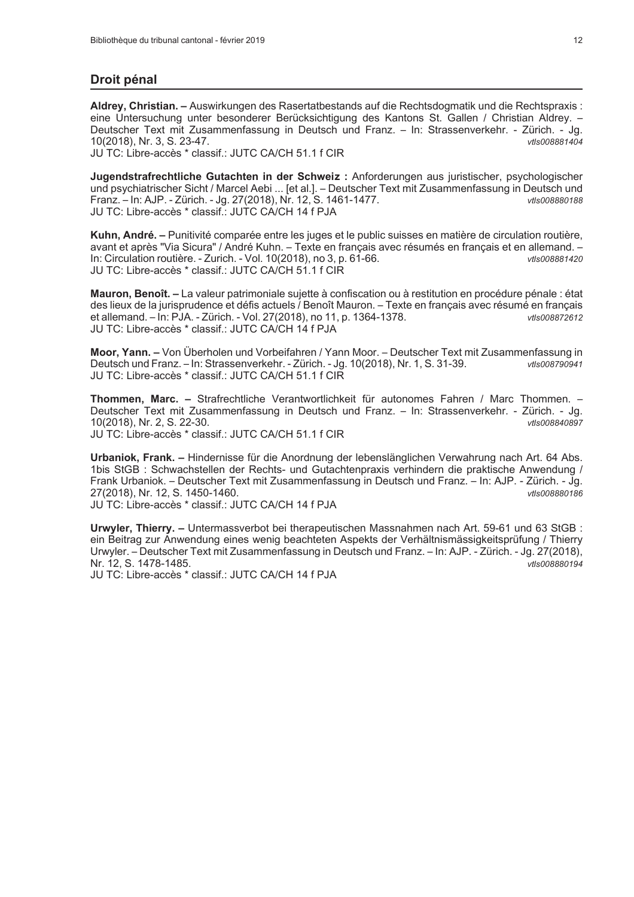## Droit pénal

Aldrey, Christian. - Auswirkungen des Rasertatbestands auf die Rechtsdogmatik und die Rechtspraxis : eine Untersuchung unter besonderer Berücksichtigung des Kantons St. Gallen / Christian Aldrey. -Deutscher Text mit Zusammenfassung in Deutsch und Franz. - In: Strassenverkehr. - Zürich. - Jg. 10(2018), Nr. 3, S. 23-47. vtls008881404

JU TC: Libre-accès \* classif.: JUTC CA/CH 51.1 f CIR

Jugendstrafrechtliche Gutachten in der Schweiz : Anforderungen aus juristischer, psychologischer und psychiatrischer Sicht / Marcel Aebi ... [et al.]. - Deutscher Text mit Zusammenfassung in Deutsch und Franz. - In: AJP. - Zürich. - Jg. 27(2018), Nr. 12, S. 1461-1477.  $v$ tls008880188 JU TC: Libre-accès \* classif.: JUTC CA/CH 14 f PJA

Kuhn, André. – Punitivité comparée entre les juges et le public suisses en matière de circulation routière, avant et après "Via Sicura" / André Kuhn. - Texte en français avec résumés en français et en allemand. -In: Circulation routière. - Zurich. - Vol. 10(2018), no 3, p. 61-66. vtls008881420 JU TC: Libre-accès \* classif.: JUTC CA/CH 51.1 f CIR

Mauron, Benoît. - La valeur patrimoniale sujette à confiscation ou à restitution en procédure pénale : état des lieux de la jurisprudence et défis actuels / Benoît Mauron. – Texte en français avec résumé en français et allemand. - In: PJA. - Zürich. - Vol. 27(2018), no 11, p. 1364-1378. vtls008872612 JU TC: Libre-accès \* classif.: JUTC CA/CH 14 f PJA

Moor, Yann. - Von Überholen und Vorbeifahren / Yann Moor. - Deutscher Text mit Zusammenfassung in Deutsch und Franz. - In: Strassenverkehr. - Zürich. - Jg. 10(2018), Nr. 1, S. 31-39.  $vH$ c $008790941$ JU TC: Libre-accès \* classif.: JUTC CA/CH 51.1 f CIR

Thommen, Marc. - Strafrechtliche Verantwortlichkeit für autonomes Fahren / Marc Thommen. -Deutscher Text mit Zusammenfassung in Deutsch und Franz. - In: Strassenverkehr. - Zürich. - Jg. 10(2018), Nr. 2, S. 22-30. vtls008840897 JU TC: Libre-accès \* classif.: JUTC CA/CH 51.1 f CIR

Urbaniok, Frank. – Hindernisse für die Anordnung der lebenslänglichen Verwahrung nach Art. 64 Abs. 1bis StGB: Schwachstellen der Rechts- und Gutachtenpraxis verhindern die praktische Anwendung / Frank Urbaniok. – Deutscher Text mit Zusammenfassung in Deutsch und Franz. – In: AJP. - Zürich. - Jg. 27(2018), Nr. 12, S. 1450-1460.  $v$ tls008880186

JU TC: Libre-accès \* classif.: JUTC CA/CH 14 f PJA

Urwyler, Thierry. - Untermassverbot bei therapeutischen Massnahmen nach Art. 59-61 und 63 StGB : ein Beitrag zur Anwendung eines wenig beachteten Aspekts der Verhältnismässigkeitsprüfung / Thierry Urwyler. - Deutscher Text mit Zusammenfassung in Deutsch und Franz. - In: AJP. - Zürich. - Jg. 27(2018), Nr. 12, S. 1478-1485. vtls008880194

JU TC: Libre-accès \* classif : JUTC CA/CH 14 f PJA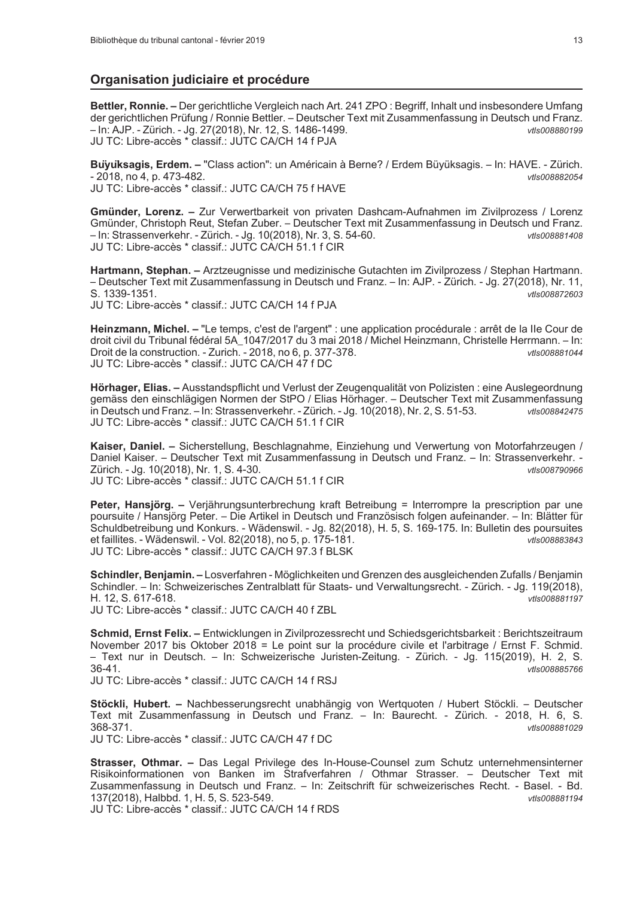## Organisation judiciaire et procédure

Bettler, Ronnie. - Der gerichtliche Vergleich nach Art. 241 ZPO : Begriff, Inhalt und insbesondere Umfang der gerichtlichen Prüfung / Ronnie Bettler. - Deutscher Text mit Zusammenfassung in Deutsch und Franz. - In: AJP. - Zürich. - Jg. 27(2018), Nr. 12, S. 1486-1499. vtls008880199 JU TC: Libre-accès \* classif.: JUTC CA/CH 14 f PJA

Buyuksagis, Erdem. - "Class action": un Américain à Berne? / Erdem Büyüksagis. - In: HAVE. - Zürich.  $-2018$ , no 4, p. 473-482. vtls008882054 JU TC: Libre-accès \* classif.: JUTC CA/CH 75 f HAVE

**Gmünder, Lorenz.** – Zur Verwertbarkeit von privaten Dashcam-Aufnahmen im Zivilprozess / Lorenz Gmünder, Christoph Reut, Stefan Zuber. - Deutscher Text mit Zusammenfassung in Deutsch und Franz. - In: Strassenverkehr. - Zürich. - Jg. 10(2018), Nr. 3, S. 54-60.  $v$ tls008881408 JU TC: Libre-accès \* classif.: JUTC CA/CH 51.1 f CIR

Hartmann, Stephan. - Arztzeugnisse und medizinische Gutachten im Zivilprozess / Stephan Hartmann. - Deutscher Text mit Zusammenfassung in Deutsch und Franz. - In: AJP. - Zürich. - Jg. 27(2018), Nr. 11, S. 1339-1351. vtls008872603

JU TC: Libre-accès \* classif.: JUTC CA/CH 14 f PJA

Heinzmann, Michel. - "Le temps, c'est de l'argent" : une application procédurale : arrêt de la IIe Cour de droit civil du Tribunal fédéral 5A\_1047/2017 du 3 mai 2018 / Michel Heinzmann, Christelle Herrmann. - In: Droit de la construction. - Zurich. - 2018, no 6, p. 377-378. vtls008881044 JU TC: Libre-accès \* classif.: JUTC CA/CH 47 f DC

Hörhager, Elias. - Ausstandspflicht und Verlust der Zeugenqualität von Polizisten : eine Auslegeordnung gemäss den einschlägigen Normen der StPO / Elias Hörhager. - Deutscher Text mit Zusammenfassung in Deutsch und Franz. - In: Strassenverkehr. - Zürich. - Jg. 10(2018), Nr. 2, S. 51-53. vtls008842475 JU TC: Libre-accès \* classif.: JUTC CA/CH 51.1 f CIR

Kaiser, Daniel. - Sicherstellung, Beschlagnahme, Einziehung und Verwertung von Motorfahrzeugen / Daniel Kaiser. - Deutscher Text mit Zusammenfassung in Deutsch und Franz. - In: Strassenverkehr. -Zürich. - Jg. 10(2018), Nr. 1, S. 4-30. **MISOOR790966** JU TC: Libre-accès \* classif.: JUTC CA/CH 51.1 f CIR

Peter, Hansjörg. - Verjährungsunterbrechung kraft Betreibung = Interrompre la prescription par une poursuite / Hansjörg Peter. - Die Artikel in Deutsch und Französisch folgen aufeinander. - In: Blätter für Schuldbetreibung und Konkurs. - Wädenswil. - Jg. 82(2018), H. 5, S. 169-175. In: Bulletin des poursuites et faillites. - Wädenswil. - Vol. 82(2018), no 5, p. 175-181. vtls008883843 JU TC: Libre-accès \* classif.: JUTC CA/CH 97.3 f BLSK

Schindler, Benjamin. - Losverfahren - Möglichkeiten und Grenzen des ausgleichenden Zufalls / Benjamin Schindler. - In: Schweizerisches Zentralblatt für Staats- und Verwaltungsrecht. - Zürich. - Jg. 119(2018), H. 12. S. 617-618. vtls008881197 JU TC: Libre-accès \* classif.: JUTC CA/CH 40 f ZBL

Schmid, Ernst Felix. - Entwicklungen in Zivilprozessrecht und Schiedsgerichtsbarkeit : Berichtszeitraum November 2017 bis Oktober 2018 = Le point sur la procédure civile et l'arbitrage / Ernst F. Schmid. - Text nur in Deutsch. - In: Schweizerische Juristen-Zeitung. - Zürich. - Jg. 115(2019), H. 2, S.  $36-41$ vtls008885766

JU TC: Libre-accès \* classif.: JUTC CA/CH 14 f RSJ

Stöckli, Hubert. - Nachbesserungsrecht unabhängig von Wertquoten / Hubert Stöckli. - Deutscher Text mit Zusammenfassung in Deutsch und Franz. - In: Baurecht. - Zürich. - 2018, H. 6, S. 368-371. vtls008881029

JU TC: Libre-accès \* classif.: JUTC CA/CH 47 f DC

Strasser, Othmar. - Das Legal Privilege des In-House-Counsel zum Schutz unternehmensinterner Risikoinformationen von Banken im Strafverfahren / Othmar Strasser. - Deutscher Text mit Zusammenfassung in Deutsch und Franz. - In: Zeitschrift für schweizerisches Recht. - Basel. - Bd. 137(2018), Halbbd. 1, H. 5, S. 523-549. vtls008881194

JU TC: Libre-accès \* classif.: JUTC CA/CH 14 f RDS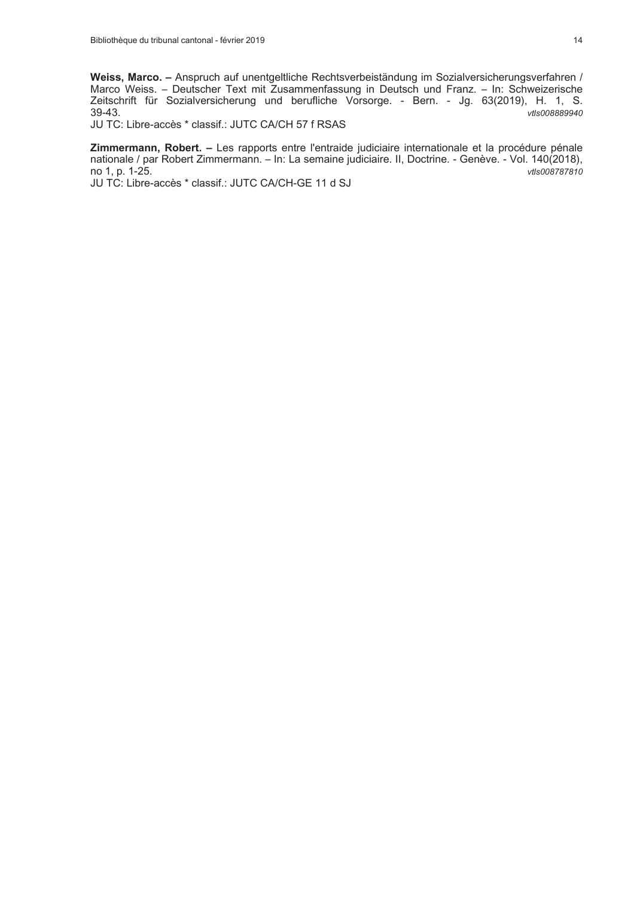Weiss, Marco. – Anspruch auf unentgeltliche Rechtsverbeiständung im Sozialversicherungsverfahren / Marco Weiss. – Deutscher Text mit Zusammenfassung in Deutsch und Franz. – In: Schweizerische Zeitschrift für Sozialversiche 39-43. vtls008889940

JU TC: Libre-accès \* classif.: JUTC CA/CH 57 f RSAS

Zimmermann, Robert. - Les rapports entre l'entraide judiciaire internationale et la procédure pénale nationale / par Robert Zimmermann. - In: La semaine judiciaire. II, Doctrine. - Genève. - Vol. 140(2018), no 1, p. 1-25. vtls008787810

JU TC: Libre-accès \* classif.: JUTC CA/CH-GE 11 d SJ